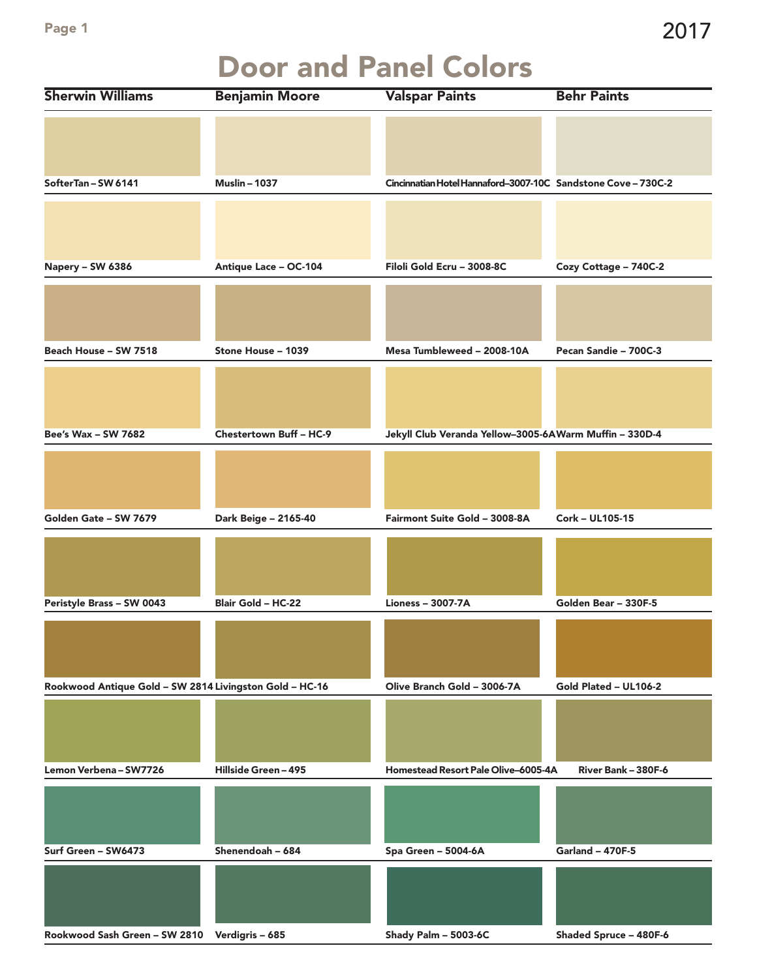## Door and Panel Colors

| <b>Sherwin Williams</b>                                 | <b>Benjamin Moore</b>   | <b>Valspar Paints</b>                                         | <b>Behr Paints</b>      |
|---------------------------------------------------------|-------------------------|---------------------------------------------------------------|-------------------------|
|                                                         |                         |                                                               |                         |
|                                                         |                         |                                                               |                         |
|                                                         |                         |                                                               |                         |
| SofterTan-SW 6141                                       | <b>Muslin-1037</b>      | Cincinnatian Hotel Hannaford-3007-10C Sandstone Cove - 730C-2 |                         |
|                                                         |                         |                                                               |                         |
|                                                         |                         |                                                               |                         |
|                                                         |                         |                                                               |                         |
| Napery - SW 6386                                        | Antique Lace - OC-104   | Filoli Gold Ecru - 3008-8C                                    | Cozy Cottage - 740C-2   |
|                                                         |                         |                                                               |                         |
|                                                         |                         |                                                               |                         |
|                                                         |                         |                                                               |                         |
| Beach House - SW 7518                                   | Stone House - 1039      | Mesa Tumbleweed - 2008-10A                                    | Pecan Sandie - 700C-3   |
|                                                         |                         |                                                               |                         |
|                                                         |                         |                                                               |                         |
|                                                         |                         |                                                               |                         |
| Bee's Wax - SW 7682                                     | Chestertown Buff - HC-9 | Jekyll Club Veranda Yellow-3005-6A Warm Muffin - 330D-4       |                         |
|                                                         |                         |                                                               |                         |
|                                                         |                         |                                                               |                         |
|                                                         |                         |                                                               |                         |
| Golden Gate - SW 7679                                   | Dark Beige - 2165-40    | Fairmont Suite Gold - 3008-8A                                 | Cork - UL105-15         |
|                                                         |                         |                                                               |                         |
|                                                         |                         |                                                               |                         |
| Peristyle Brass - SW 0043                               | Blair Gold - HC-22      | <b>Lioness - 3007-7A</b>                                      | Golden Bear - 330F-5    |
|                                                         |                         |                                                               |                         |
|                                                         |                         |                                                               |                         |
|                                                         |                         |                                                               |                         |
| Rookwood Antique Gold - SW 2814 Livingston Gold - HC-16 |                         | Olive Branch Gold - 3006-7A                                   | Gold Plated - UL106-2   |
|                                                         |                         |                                                               |                         |
|                                                         |                         |                                                               |                         |
|                                                         |                         |                                                               |                         |
| Lemon Verbena - SW7726                                  | Hillside Green-495      | Homestead Resort Pale Olive-6005-4A                           | River Bank - 380F-6     |
|                                                         |                         |                                                               |                         |
|                                                         |                         |                                                               |                         |
|                                                         |                         |                                                               |                         |
| Surf Green - SW6473                                     | Shenendoah - 684        | Spa Green - 5004-6A                                           | <b>Garland - 470F-5</b> |
|                                                         |                         |                                                               |                         |
|                                                         |                         |                                                               |                         |
|                                                         |                         |                                                               |                         |
| Rookwood Sash Green - SW 2810 Verdigris - 685           |                         | Shady Palm - 5003-6C                                          | Shaded Spruce - 480F-6  |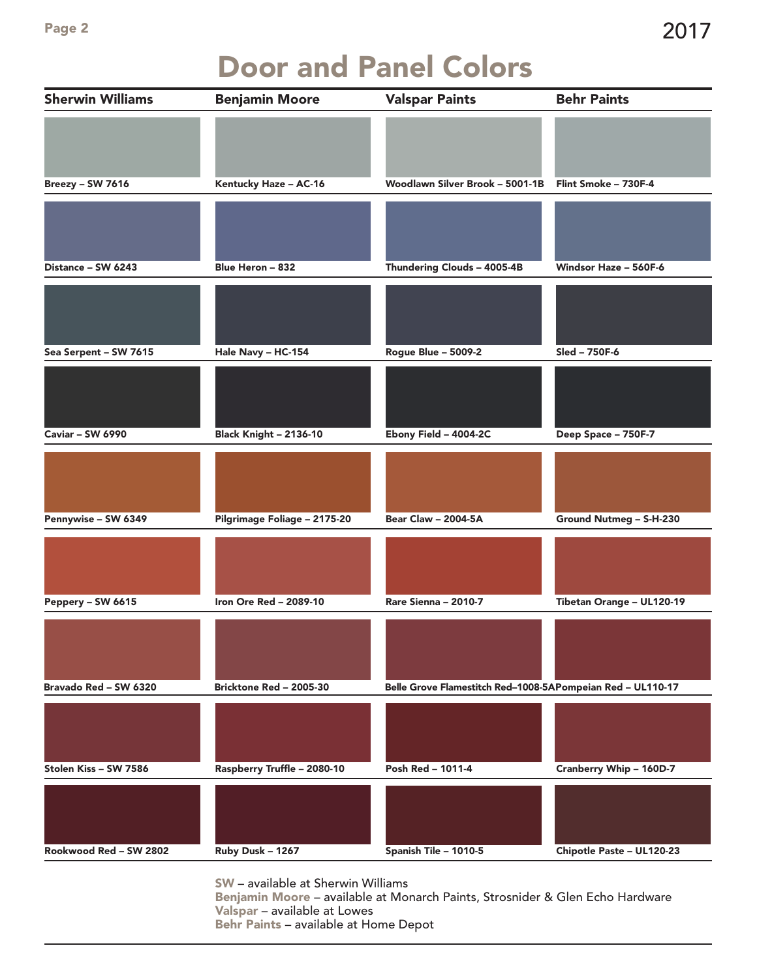### Door and Panel Colors

| <b>Sherwin Williams</b> | <b>Benjamin Moore</b>         | <b>Valspar Paints</b>                                      | <b>Behr Paints</b>        |
|-------------------------|-------------------------------|------------------------------------------------------------|---------------------------|
|                         |                               |                                                            |                           |
| Breezy - SW 7616        | Kentucky Haze - AC-16         | Woodlawn Silver Brook - 5001-1B                            | Flint Smoke - 730F-4      |
|                         |                               |                                                            |                           |
| Distance - SW 6243      | Blue Heron - 832              | Thundering Clouds - 4005-4B                                | Windsor Haze - 560F-6     |
|                         |                               |                                                            |                           |
| Sea Serpent - SW 7615   | Hale Navy - HC-154            | <b>Rogue Blue - 5009-2</b>                                 | Sled - 750F-6             |
|                         |                               |                                                            |                           |
| <b>Caviar - SW 6990</b> | <b>Black Knight - 2136-10</b> | Ebony Field - 4004-2C                                      | Deep Space - 750F-7       |
|                         |                               |                                                            |                           |
| Pennywise - SW 6349     | Pilgrimage Foliage - 2175-20  | <b>Bear Claw - 2004-5A</b>                                 | Ground Nutmeg - S-H-230   |
|                         |                               |                                                            |                           |
| Peppery - SW 6615       | Iron Ore Red - 2089-10        | Rare Sienna - 2010-7                                       | Tibetan Orange - UL120-19 |
|                         |                               |                                                            |                           |
| Bravado Red - SW 6320   | Bricktone Red - 2005-30       | Belle Grove Flamestitch Red-1008-5APompeian Red - UL110-17 |                           |
|                         |                               |                                                            |                           |
| Stolen Kiss - SW 7586   | Raspberry Truffle - 2080-10   | Posh Red - 1011-4                                          | Cranberry Whip - 160D-7   |
| Rookwood Red - SW 2802  | Ruby Dusk - 1267              | Spanish Tile - 1010-5                                      | Chipotle Paste - UL120-23 |

SW – available at Sherwin Williams

Benjamin Moore – available at Monarch Paints, Strosnider & Glen Echo Hardware Valspar – available at Lowes Behr Paints – available at Home Depot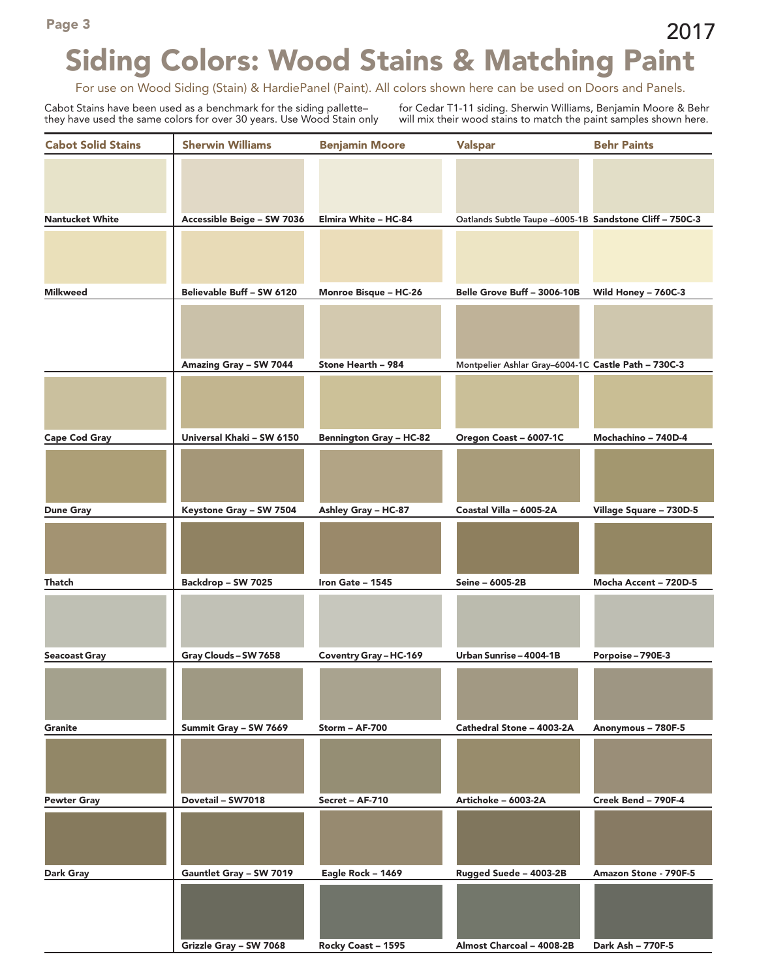# Siding Colors: Wood Stains & Matching Paint

For use on Wood Siding (Stain) & HardiePanel (Paint). All colors shown here can be used on Doors and Panels.

Cabot Stains have been used as a benchmark for the siding pallette– they have used the same colors for over 30 years. Use Wood Stain only for Cedar T1-11 siding. Sherwin Williams, Benjamin Moore & Behr will mix their wood stains to match the paint samples shown here.

| <b>Cabot Solid Stains</b> | <b>Sherwin Williams</b>    | <b>Benjamin Moore</b>          | <b>Valspar</b>                                          | <b>Behr Paints</b>      |
|---------------------------|----------------------------|--------------------------------|---------------------------------------------------------|-------------------------|
|                           |                            |                                |                                                         |                         |
| <b>Nantucket White</b>    | Accessible Beige - SW 7036 | Elmira White - HC-84           | Oatlands Subtle Taupe -6005-1B Sandstone Cliff - 750C-3 |                         |
|                           |                            |                                |                                                         |                         |
| <b>Milkweed</b>           | Believable Buff - SW 6120  | Monroe Bisque - HC-26          | Belle Grove Buff - 3006-10B                             | Wild Honey - 760C-3     |
|                           |                            |                                |                                                         |                         |
|                           | Amazing Gray - SW 7044     | Stone Hearth - 984             | Montpelier Ashlar Gray-6004-1C Castle Path - 730C-3     |                         |
|                           |                            |                                |                                                         |                         |
| <b>Cape Cod Gray</b>      | Universal Khaki - SW 6150  | <b>Bennington Gray - HC-82</b> | Oregon Coast - 6007-1C                                  | Mochachino - 740D-4     |
|                           |                            |                                |                                                         |                         |
| <b>Dune Gray</b>          | Keystone Gray - SW 7504    | Ashley Gray - HC-87            | Coastal Villa - 6005-2A                                 | Village Square - 730D-5 |
|                           |                            |                                |                                                         |                         |
| Thatch                    | Backdrop - SW 7025         | Iron Gate - 1545               | Seine - 6005-2B                                         | Mocha Accent - 720D-5   |
|                           |                            |                                |                                                         |                         |
| <b>Seacoast Gray</b>      | Gray Clouds - SW 7658      | Coventry Gray - HC-169         | Urban Sunrise - 4004-1B                                 | Porpoise - 790E-3       |
|                           |                            |                                |                                                         |                         |
| <b>Granite</b>            | Summit Gray - SW 7669      | Storm - AF-700                 | Cathedral Stone - 4003-2A                               | Anonymous - 780F-5      |
|                           |                            |                                |                                                         |                         |
| <b>Pewter Gray</b>        | Dovetail - SW7018          | Secret - AF-710                | Artichoke - 6003-2A                                     | Creek Bend - 790F-4     |
|                           |                            |                                |                                                         |                         |
| <b>Dark Gray</b>          | Gauntlet Gray - SW 7019    | Eagle Rock - 1469              | Rugged Suede - 4003-2B                                  | Amazon Stone - 790F-5   |
|                           |                            |                                |                                                         |                         |
|                           | Grizzle Gray - SW 7068     | Rocky Coast - 1595             | Almost Charcoal - 4008-2B                               | Dark Ash - 770F-5       |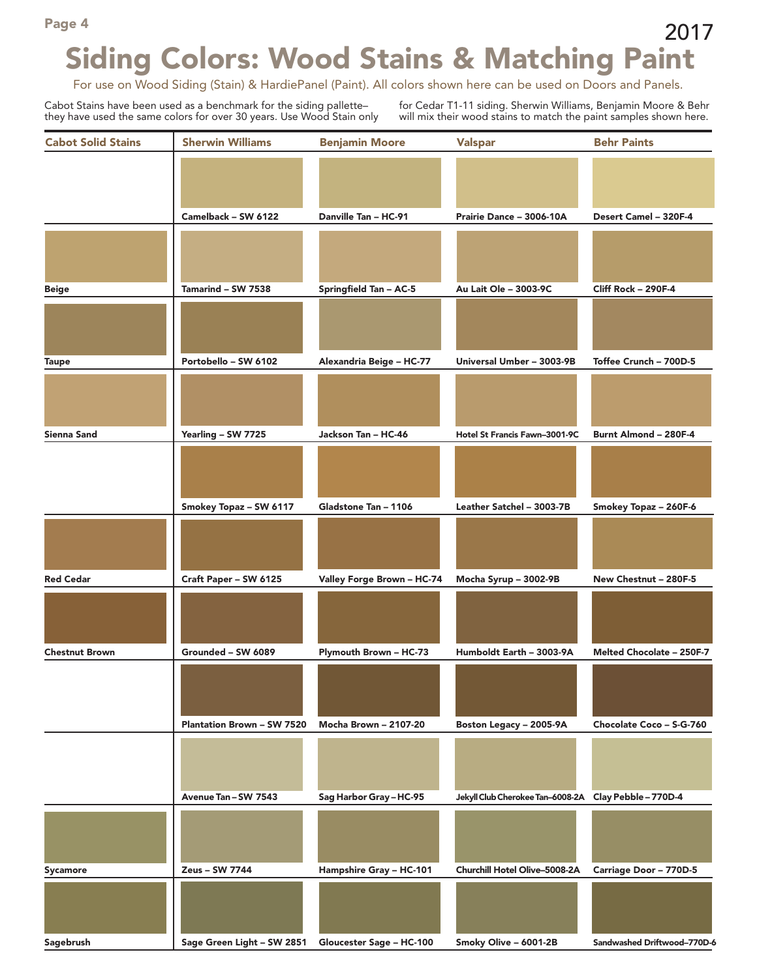#### Page 4 and 2017 Siding Colors: Wood Stains & Matching Paint

For use on Wood Siding (Stain) & HardiePanel (Paint). All colors shown here can be used on Doors and Panels.

Cabot Stains have been used as a benchmark for the siding pallette– they have used the same colors for over 30 years. Use Wood Stain only for Cedar T1-11 siding. Sherwin Williams, Benjamin Moore & Behr will mix their wood stains to match the paint samples shown here.

| <b>Cabot Solid Stains</b> | <b>Sherwin Williams</b>                             | <b>Benjamin Moore</b>         | <b>Valspar</b>                                        | <b>Behr Paints</b>          |
|---------------------------|-----------------------------------------------------|-------------------------------|-------------------------------------------------------|-----------------------------|
|                           |                                                     |                               |                                                       |                             |
|                           |                                                     |                               |                                                       |                             |
|                           | Camelback - SW 6122                                 | Danville Tan - HC-91          | Prairie Dance - 3006-10A                              | Desert Camel - 320F-4       |
|                           |                                                     |                               |                                                       |                             |
|                           |                                                     |                               |                                                       |                             |
| <b>Beige</b>              | Tamarind - SW 7538                                  | <b>Springfield Tan - AC-5</b> | Au Lait Ole - 3003-9C                                 | Cliff Rock - 290F-4         |
|                           |                                                     |                               |                                                       |                             |
|                           |                                                     |                               |                                                       |                             |
| <b>Taupe</b>              | Portobello - SW 6102                                | Alexandria Beige - HC-77      | Universal Umber - 3003-9B                             | Toffee Crunch - 700D-5      |
|                           |                                                     |                               |                                                       |                             |
|                           |                                                     |                               |                                                       |                             |
| <b>Sienna Sand</b>        | Yearling - SW 7725                                  | Jackson Tan - HC-46           | Hotel St Francis Fawn-3001-9C                         | Burnt Almond - 280F-4       |
|                           |                                                     |                               |                                                       |                             |
|                           |                                                     |                               |                                                       |                             |
|                           | Smokey Topaz - SW 6117                              | Gladstone Tan - 1106          | Leather Satchel - 3003-7B                             | Smokey Topaz - 260F-6       |
|                           |                                                     |                               |                                                       |                             |
|                           |                                                     |                               |                                                       |                             |
| <b>Red Cedar</b>          | Craft Paper - SW 6125                               | Valley Forge Brown - HC-74    | Mocha Syrup - 3002-9B                                 | New Chestnut - 280F-5       |
|                           |                                                     |                               |                                                       |                             |
|                           |                                                     |                               |                                                       |                             |
| <b>Chestnut Brown</b>     | Grounded - SW 6089                                  | Plymouth Brown - HC-73        | Humboldt Earth - 3003-9A                              | Melted Chocolate - 250F-7   |
|                           |                                                     |                               |                                                       |                             |
|                           |                                                     |                               |                                                       |                             |
|                           | <b>Plantation Brown - SW 7520</b>                   | <b>Mocha Brown - 2107-20</b>  | Boston Legacy - 2005-9A                               | Chocolate Coco - S-G-760    |
|                           |                                                     |                               |                                                       |                             |
|                           |                                                     |                               |                                                       |                             |
|                           | Avenue Tan - SW 7543                                | Sag Harbor Gray-HC-95         | Jekyll Club Cherokee Tan-6008-2A Clay Pebble - 770D-4 |                             |
|                           |                                                     |                               |                                                       |                             |
|                           |                                                     |                               |                                                       |                             |
| Sycamore                  | Zeus - SW 7744                                      | Hampshire Gray - HC-101       | Churchill Hotel Olive-5008-2A                         | Carriage Door - 770D-5      |
|                           |                                                     |                               |                                                       |                             |
|                           |                                                     |                               |                                                       |                             |
| Sagebrush                 | Sage Green Light - SW 2851 Gloucester Sage - HC-100 |                               | Smoky Olive - 6001-2B                                 | Sandwashed Driftwood-770D-6 |